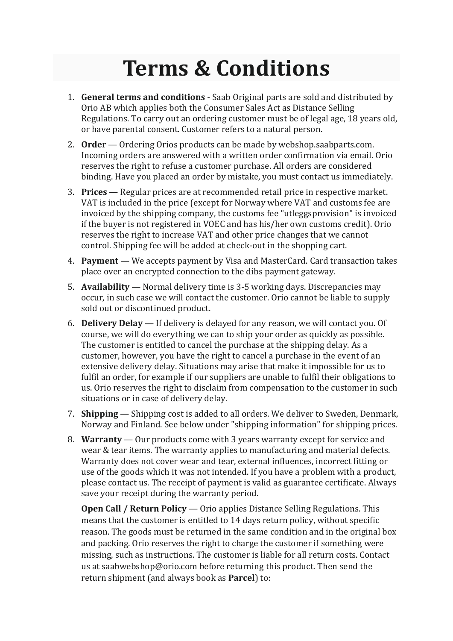## **Terms & Conditions**

- 1. **General terms and conditions** Saab Original parts are sold and distributed by Orio AB which applies both the Consumer Sales Act as Distance Selling Regulations. To carry out an ordering customer must be of legal age, 18 years old, or have parental consent. Customer refers to a natural person.
- 2. **Order** Ordering Orios products can be made by webshop.saabparts.com. Incoming orders are answered with a written order confirmation via email. Orio reserves the right to refuse a customer purchase. All orders are considered binding. Have you placed an order by mistake, you must contact us immediately.
- 3. **Prices**  Regular prices are at recommended retail price in respective market. VAT is included in the price (except for Norway where VAT and customs fee are invoiced by the shipping company, the customs fee "utleggsprovision" is invoiced if the buyer is not registered in VOEC and has his/her own customs credit). Orio reserves the right to increase VAT and other price changes that we cannot control. Shipping fee will be added at check-out in the shopping cart.
- 4. **Payment** We accepts payment by Visa and MasterCard. Card transaction takes place over an encrypted connection to the dibs payment gateway.
- 5. **Availability** Normal delivery time is 3-5 working days. Discrepancies may occur, in such case we will contact the customer. Orio cannot be liable to supply sold out or discontinued product.
- 6. **Delivery Delay** If delivery is delayed for any reason, we will contact you. Of course, we will do everything we can to ship your order as quickly as possible. The customer is entitled to cancel the purchase at the shipping delay. As a customer, however, you have the right to cancel a purchase in the event of an extensive delivery delay. Situations may arise that make it impossible for us to fulfil an order, for example if our suppliers are unable to fulfil their obligations to us. Orio reserves the right to disclaim from compensation to the customer in such situations or in case of delivery delay.
- 7. **Shipping** Shipping cost is added to all orders. We deliver to Sweden, Denmark, Norway and Finland. See below under "shipping information" for shipping prices.
- 8. **Warranty** Our products come with 3 years warranty except for service and wear & tear items. The warranty applies to manufacturing and material defects. Warranty does not cover wear and tear, external influences, incorrect fitting or use of the goods which it was not intended. If you have a problem with a product, please contact us. The receipt of payment is valid as guarantee certificate. Always save your receipt during the warranty period.

**Open Call / Return Policy** — Orio applies Distance Selling Regulations. This means that the customer is entitled to 14 days return policy, without specific reason. The goods must be returned in the same condition and in the original box and packing. Orio reserves the right to charge the customer if something were missing, such as instructions. The customer is liable for all return costs. Contact us at saabwebshop@orio.com before returning this product. Then send the return shipment (and always book as **Parcel**) to: